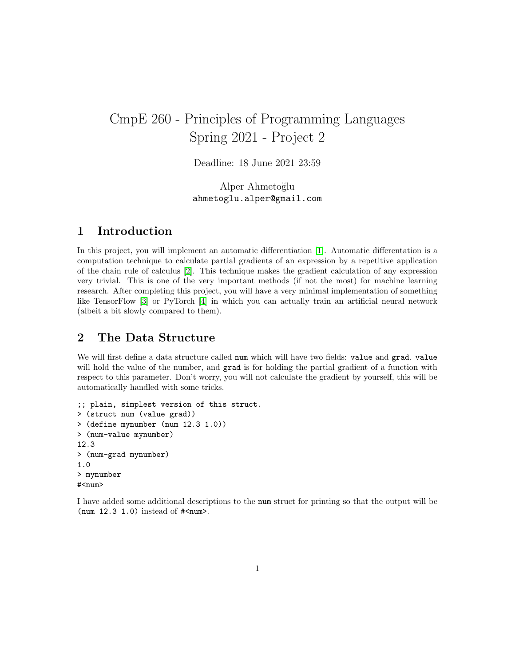# CmpE 260 - Principles of Programming Languages Spring 2021 - Project 2

Deadline: 18 June 2021 23:59

Alper Ahmetoğlu ahmetoglu.alper@gmail.com

## 1 Introduction

In this project, you will implement an automatic differentiation [\[1\]](#page-7-0). Automatic differentation is a computation technique to calculate partial gradients of an expression by a repetitive application of the chain rule of calculus [\[2\]](#page-7-1). This technique makes the gradient calculation of any expression very trivial. This is one of the very important methods (if not the most) for machine learning research. After completing this project, you will have a very minimal implementation of something like TensorFlow [\[3\]](#page-7-2) or PyTorch [\[4\]](#page-7-3) in which you can actually train an artificial neural network (albeit a bit slowly compared to them).

## 2 The Data Structure

We will first define a data structure called num which will have two fields: value and grad. value will hold the value of the number, and grad is for holding the partial gradient of a function with respect to this parameter. Don't worry, you will not calculate the gradient by yourself, this will be automatically handled with some tricks.

```
;; plain, simplest version of this struct.
> (struct num (value grad))
> (define mynumber (num 12.3 1.0))
> (num-value mynumber)
12.3
> (num-grad mynumber)
1.0
> mynumber
#<num>
```
I have added some additional descriptions to the num struct for printing so that the output will be (num  $12.3$  1.0) instead of  $\#\text{sum}$ ).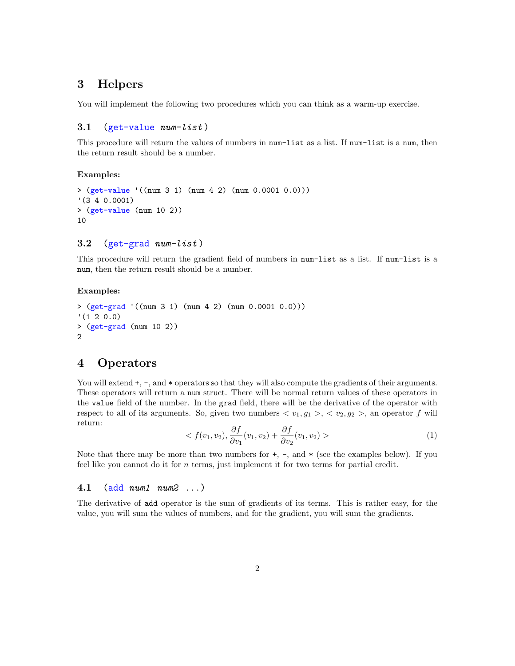## 3 Helpers

You will implement the following two procedures which you can think as a warm-up exercise.

## 3.1 (get-value  $num-list$ )

This procedure will return the values of numbers in num-list as a list. If num-list is a num, then the return result should be a number.

## Examples:

```
> (get-value '((num 3 1) (num 4 2) (num 0.0001 0.0)))
'(3 4 0.0001)
> (get-value (num 10 2))
10
```
## 3.2 (get-grad  $num-list$ )

This procedure will return the gradient field of numbers in num-list as a list. If num-list is a num, then the return result should be a number.

## Examples:

```
> (get-grad '((num 3 1) (num 4 2) (num 0.0001 0.0)))
'(1 2 0.0)
> (get-grad (num 10 2))
2
```
## 4 Operators

You will extend  $+$ ,  $-$ , and  $*$  operators so that they will also compute the gradients of their arguments. These operators will return a num struct. There will be normal return values of these operators in the value field of the number. In the grad field, there will be the derivative of the operator with respect to all of its arguments. So, given two numbers  $\langle v_1, g_1 \rangle, \langle v_2, g_2 \rangle$ , an operator f will return:

$$
\langle f(v_1, v_2), \frac{\partial f}{\partial v_1}(v_1, v_2) + \frac{\partial f}{\partial v_2}(v_1, v_2) \rangle \tag{1}
$$

Note that there may be more than two numbers for  $+$ ,  $-$ , and  $*$  (see the examples below). If you feel like you cannot do it for  $n$  terms, just implement it for two terms for partial credit.

## 4.1 (add  $num1$   $num2$  ...)

The derivative of add operator is the sum of gradients of its terms. This is rather easy, for the value, you will sum the values of numbers, and for the gradient, you will sum the gradients.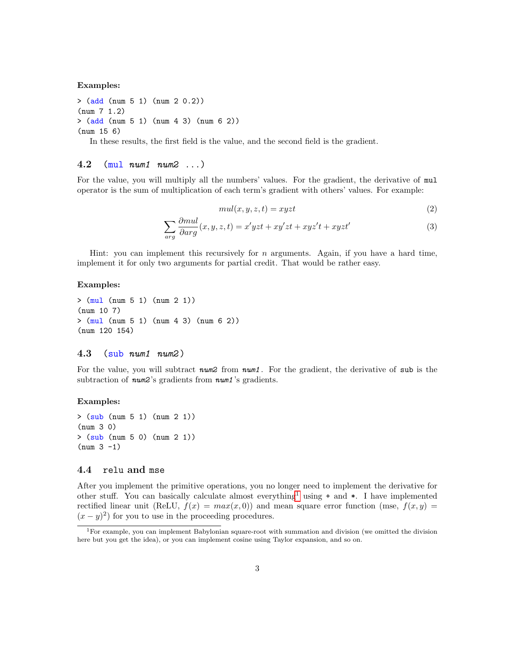Examples:

> (add (num 5 1) (num 2 0.2)) (num 7 1.2) > (add (num 5 1) (num 4 3) (num 6 2)) (num 15 6)

In these results, the first field is the value, and the second field is the gradient.

## 4.2 (mul num1 num2 ...)

For the value, you will multiply all the numbers' values. For the gradient, the derivative of mul operator is the sum of multiplication of each term's gradient with others' values. For example:

$$
mul(x, y, z, t) = xyzt
$$
\n<sup>(2)</sup>

$$
\sum_{arg} \frac{\partial mul}{\partial arg}(x, y, z, t) = x' yzt + xy'zt + xyz't + xyzt'
$$
\n(3)

Hint: you can implement this recursively for  $n$  arguments. Again, if you have a hard time, implement it for only two arguments for partial credit. That would be rather easy.

#### Examples:

```
> (mul (num 5 1) (num 2 1))
(num 10 7)
> (mul (num 5 1) (num 4 3) (num 6 2))
(num 120 154)
```
#### $4.3$  (sub num1 num2)

For the value, you will subtract  $num2$  from  $num1$ . For the gradient, the derivative of sub is the subtraction of *num2*'s gradients from *num1*'s gradients.

### Examples:

> (sub (num 5 1) (num 2 1)) (num 3 0)  $>$  (sub (num 5 0) (num 2 1))  $(num 3 -1)$ 

## 4.4 relu and mse

After you implement the primitive operations, you no longer need to implement the derivative for other stuff. You can basically calculate almost everything<sup>[1](#page-2-0)</sup> using  $+$  and  $*$ . I have implemented rectified linear unit (ReLU,  $f(x) = max(x, 0)$ ) and mean square error function (mse,  $f(x, y) =$  $(x-y)^2$  for you to use in the proceeding procedures.

<span id="page-2-0"></span><sup>1</sup>For example, you can implement Babylonian square-root with summation and division (we omitted the division here but you get the idea), or you can implement cosine using Taylor expansion, and so on.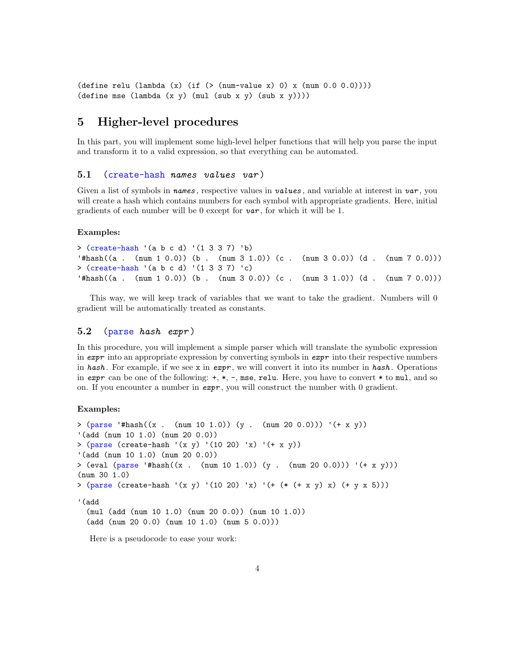```
(define relu (lambda (x) (if (>(num-value x) 0) x (num 0.0 0.0)))
(define mse (lambda (x \ y) (mul (sub x y) (sub x y))))
```
## 5 Higher-level procedures

In this part, you will implement some high-level helper functions that will help you parse the input and transform it to a valid expression, so that everything can be automated.

### 5.1 (create-hash names values var )

Given a list of symbols in names, respective values in values, and variable at interest in var, you will create a hash which contains numbers for each symbol with appropriate gradients. Here, initial gradients of each number will be 0 except for  $var$ , for which it will be 1.

#### Examples:

```
> (create-hash '(a b c d) '(1 3 3 7) 'b)
'#hash((a . (num 1 0.0)) (b . (num 3 1.0)) (c . (num 3 0.0)) (d . (num 7 0.0)))
> (create-hash '(a b c d) '(1 3 3 7) 'c)
'#hash((a . (num 1 0.0)) (b . (num 3 0.0)) (c . (num 3 1.0)) (d . (num 7 0.0)))
```
This way, we will keep track of variables that we want to take the gradient. Numbers will 0 gradient will be automatically treated as constants.

#### 5.2 (parse hash expr )

In this procedure, you will implement a simple parser which will translate the symbolic expression in expr into an appropriate expression by converting symbols in  $\epsilon x p r$  into their respective numbers in hash. For example, if we see x in expr, we will convert it into its number in hash. Operations in  $expr$  can be one of the following:  $+, *, -,$  mse, relu. Here, you have to convert  $*$  to mul, and so on. If you encounter a number in  $\exp r$ , you will construct the number with 0 gradient.

### Examples:

```
> (parse '#hash((x . (num 10 1.0)) (y . (num 20 0.0))) '(+ x y))
'(add (num 10 1.0) (num 20 0.0))
> (parse (create-hash '(x y) '(10 20) 'x) '(+ x y))
'(add (num 10 1.0) (num 20 0.0))
> (eval (parse '#hash((x . (num 10 1.0)) (y . (num 20 0.0))) '(+ x y)))
(num 30 1.0)
> (parse (create-hash '(x y) '(10 20) 'x) '(+ (* (+ x y) x) (+ y x 5)))
'(add
  (mul (add (num 10 1.0) (num 20 0.0)) (num 10 1.0))
  (add (num 20 0.0) (num 10 1.0) (num 5 0.0)))
```
Here is a pseudocode to ease your work: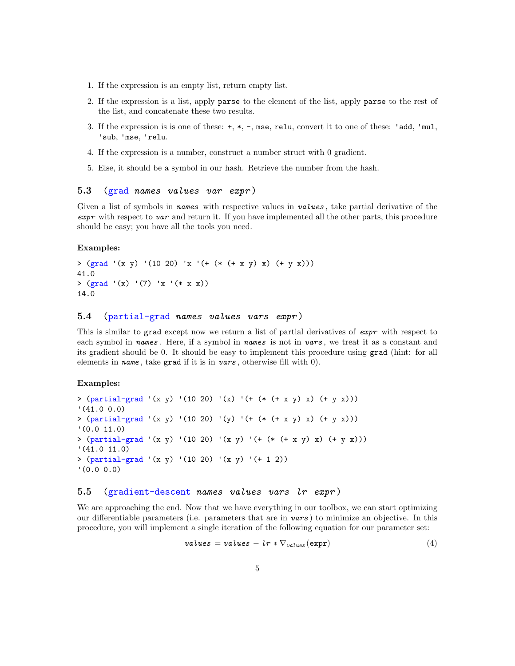- 1. If the expression is an empty list, return empty list.
- 2. If the expression is a list, apply parse to the element of the list, apply parse to the rest of the list, and concatenate these two results.
- 3. If the expression is is one of these: +, \*, -, mse, relu, convert it to one of these: 'add, 'mul, 'sub, 'mse, 'relu.
- 4. If the expression is a number, construct a number struct with 0 gradient.
- 5. Else, it should be a symbol in our hash. Retrieve the number from the hash.

## 5.3 (grad names values var expr )

Given a list of symbols in names with respective values in values, take partial derivative of the expr with respect to var and return it. If you have implemented all the other parts, this procedure should be easy; you have all the tools you need.

#### Examples:

```
> (grad '(x y) '(10 20) 'x '(+ (* (+ x y) x) (+ y x)))
41.0
> (grad '(x) '(7) 'x '(* x x))
14.0
```
## 5.4 (partial-grad names values vars expr)

This is similar to grad except now we return a list of partial derivatives of expr with respect to each symbol in names. Here, if a symbol in names is not in vars, we treat it as a constant and its gradient should be 0. It should be easy to implement this procedure using grad (hint: for all elements in name, take grad if it is in vars, otherwise fill with  $0$ ).

#### Examples:

```
> (partial-grad '(x y) '(10 20) '(x) '(+ (* (+ x y) x) (+ y x)))
'(41.0 0.0)
> (\text{partial-grad } (x y) (10 20) (y) (+ (* (* x y) x) (+ y x)))'(0.0 11.0)
> (partial-grad '(x y) '(10 20) '(x y) '(+ (* (+ x y) x) (+ y x)))
'(41.0 11.0)
> (partial-grad '(x y) '(10 20) '(x y) '(+ 1 2))
'(0.0 0.0)
```
## 5.5 (gradient-descent names values vars lr expr )

We are approaching the end. Now that we have everything in our toolbox, we can start optimizing our differentiable parameters (i.e. parameters that are in  $vars$ ) to minimize an objective. In this procedure, you will implement a single iteration of the following equation for our parameter set:

$$
values = values - lr * \nabla_{values}(\text{expr})
$$
\n(4)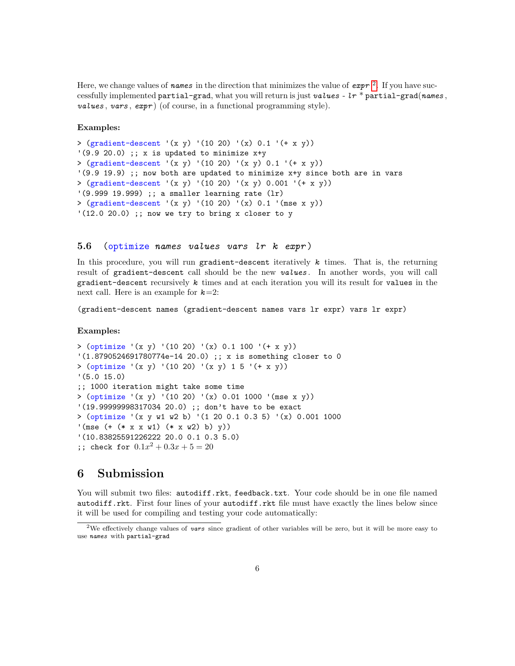Here, we change values of names in the direction that minimizes the value of  $\exp r^{-2}$  $\exp r^{-2}$  $\exp r^{-2}$ . If you have successfully implemented partial-grad, what you will return is just values -  $lr *$  partial-grad(names, values, vars,  $expr$ ) (of course, in a functional programming style).

#### Examples:

```
> (gradient-descent '(x y) '(10 20) '(x) 0.1 '(+ x y))
'(9.9 20.0);; x is updated to minimize x+y
> (gradient-descent '(x y) '(10 20) '(x y) 0.1 '(+ x y))
'(9.9 19.9) ;; now both are updated to minimize x+y since both are in vars
> (gradient-descent '(x y) '(10 20) '(x y) 0.001 '(+ x y))
'(9.999 19.999) ;; a smaller learning rate (lr)
> (gradient-descent '(x y) '(10 20) '(x) 0.1 '(mse x y))
'(12.0 20.0) ;; now we try to bring x closer to y
```
### 5.6 (optimize names values vars lr k expr)

In this procedure, you will run gradient-descent iteratively  $k$  times. That is, the returning result of gradient-descent call should be the new values. In another words, you will call gradient-descent recursively  $k$  times and at each iteration you will its result for values in the next call. Here is an example for  $k=2$ :

(gradient-descent names (gradient-descent names vars lr expr) vars lr expr)

#### Examples:

```
> (optimize '(x y) '(10 20) '(x) 0.1 100 '(+ x y))
'(1.8790524691780774e-14 20.0) ;; x is something closer to 0
> (optimize '(x y) '(10 20) '(x y) 1 5 '(+ x y))
'(5.0 15.0)
;; 1000 iteration might take some time
> (optimize '(x y) '(10 20) '(x) 0.01 1000 '(mse x y))
'(19.99999998317034 20.0) ;; don't have to be exact
> (optimize '(x y w1 w2 b) '(1 20 0.1 0.3 5) '(x) 0.001 1000
'(mse (+ (* x x w1) (* x w2) b) y))
'(10.83825591226222 20.0 0.1 0.3 5.0)
;; check for 0.1x^2 + 0.3x + 5 = 20
```
## 6 Submission

You will submit two files: autodiff.rkt, feedback.txt. Your code should be in one file named autodiff.rkt. First four lines of your autodiff.rkt file must have exactly the lines below since it will be used for compiling and testing your code automatically:

<span id="page-5-0"></span><sup>&</sup>lt;sup>2</sup>We effectively change values of vars since gradient of other variables will be zero, but it will be more easy to use names with partial-grad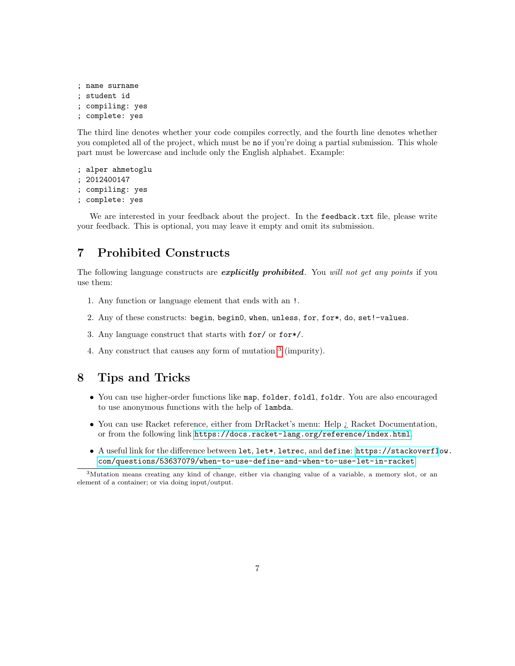```
; name surname
; student id
 compiling: yes
; complete: yes
```
The third line denotes whether your code compiles correctly, and the fourth line denotes whether you completed all of the project, which must be no if you're doing a partial submission. This whole part must be lowercase and include only the English alphabet. Example:

```
; alper ahmetoglu
; 2012400147
; compiling: yes
; complete: yes
```
We are interested in your feedback about the project. In the feedback.txt file, please write your feedback. This is optional, you may leave it empty and omit its submission.

## 7 Prohibited Constructs

The following language constructs are *explicitly prohibited*. You will not get any points if you use them:

- 1. Any function or language element that ends with an !.
- 2. Any of these constructs: begin, begin0, when, unless, for, for\*, do, set!-values.
- 3. Any language construct that starts with for/ or for\*/.
- 4. Any construct that causes any form of mutation  $3$  (impurity).

## 8 Tips and Tricks

- You can use higher-order functions like map, folder, foldl, foldr. You are also encouraged to use anonymous functions with the help of lambda.
- You can use Racket reference, either from DrRacket's menu: Help ¿ Racket Documentation, or from the following link <https://docs.racket-lang.org/reference/index.html>.
- A useful link for the difference between let, let\*, letrec, and define: [https://stackoverfl](https://stackoverflow.com/questions/53637079/when-to-use-define-and-when-to-use-let-in-racket)ow. [com/questions/53637079/when-to-use-define-and-when-to-use-let-in-racket](https://stackoverflow.com/questions/53637079/when-to-use-define-and-when-to-use-let-in-racket).

<span id="page-6-0"></span><sup>3</sup>Mutation means creating any kind of change, either via changing value of a variable, a memory slot, or an element of a container; or via doing input/output.